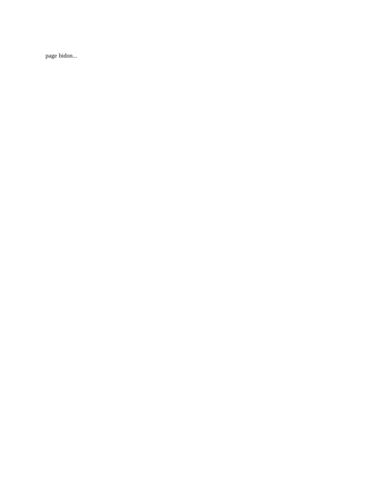page bidon...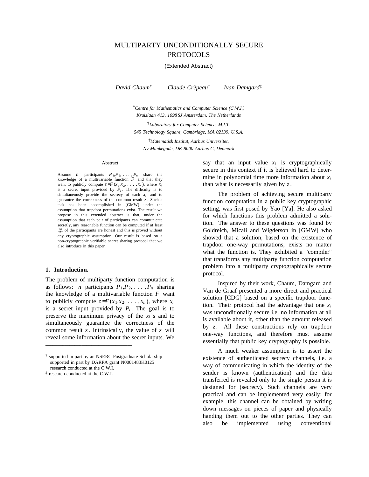# MULTIPARTY UNCONDITIONALLY SECURE PROTOCOLS

### (Extended Abstract)

*David Chaum*\* *Claude Cre*´*peau*† *Ivan Damgard*‡

\**Centre for Mathematics and Computer Science (C.W.I.) Kruislaan 413, 1098 SJ Amsterdam, The Netherlands*

†*Laboratory for Computer Science, M.I.T. 545 Technology Square, Cambridge, MA 02139, U.S.A.*

‡*Matematisk Institut, Aarhus Universitet, Ny Munkegade, DK 8000 Aarhus C, Denmark*

#### Abstract

Assume *n* participants  $P_1, P_2, \ldots, P_n$  share the knowledge of a multivariable function *F* and that they want to publicly compute  $z = F(x_1, x_2, \ldots, x_n)$ , where  $x_i$ is a secret input provided by  $P_i$ . The difficulty is to simultaneously provide the secrecy of each *x<sup>i</sup>* and to guarantee the correctness of the common result *z* . Such a task has been accomplished in [GMW] under the assumption that trapdoor permutations exist. The result we propose in this extended abstract is that, under the assumption that each pair of participants can communicate secretly, any reasonable function can be computed if at least  $\frac{2n}{3}$  of the participants are honest and this is proved without any cryptographic assumption. Our result is based on a non-cryptographic verifiable secret sharing protocol that we also introduce in this paper.

#### **1. Introduction.**

The problem of multiparty function computation is as follows: *n* participants  $P_1, P_2, \ldots, P_n$  sharing the knowledge of a multivariable function *F* want to publicly compute  $z = F(x_1, x_2, \ldots, x_n)$ , where  $x_i$ is a secret input provided by  $P_i$ . The goal is to preserve the maximum privacy of the  $x_i$ 's and to simultaneously guarantee the correctness of the common result *z*. Intrinsically, the value of *z* will reveal some information about the secret inputs. We

\_\_\_\_\_\_\_\_\_\_\_\_\_\_\_\_\_\_\_\_\_\_\_\_\_\_\_\_\_\_\_\_\_\_\_\_

say that an input value  $x_i$  is cryptographically secure in this context if it is believed hard to determine in polynomial time more information about *x<sup>i</sup>* than what is necessarily given by *z*.

The problem of achieving secure multiparty function computation in a public key cryptographic setting, was first posed by Yao [Ya]. He also asked for which functions this problem admitted a solution. The answer to these questions was found by Goldreich, Micali and Wigderson in [GMW] who showed that a solution, based on the existence of trapdoor one-way permutations, exists no matter what the function is. They exhibited a "compiler" that transforms any multiparty function computation problem into a multiparty cryptographically secure protocol.

Inspired by their work, Chaum, Damgard and Van de Graaf presented a more direct and practical solution [CDG] based on a specific trapdoor function. Their protocol had the advantage that one  $x_i$ was unconditionally secure i.e. no information at all is available about it, other than the amount released by *z*. All these constructions rely on trapdoor one-way functions, and therefore must assume essentially that public key cryptography is possible.

A much weaker assumption is to assert the existence of authenticated secrecy channels, i.e. a way of communicating in which the identity of the sender is known (authentication) and the data transferred is revealed only to the single person it is designed for (secrecy). Such channels are very practical and can be implemented very easily: for example, this channel can be obtained by writing down messages on pieces of paper and physically handing them out to the other parties. They can also be implemented using conventional

<sup>†</sup> supported in part by an NSERC Postgraduate Scholarship supported in part by DARPA grant N0001483K0125 research conducted at the C.W.I.

<sup>‡</sup> research conducted at the C.W.I.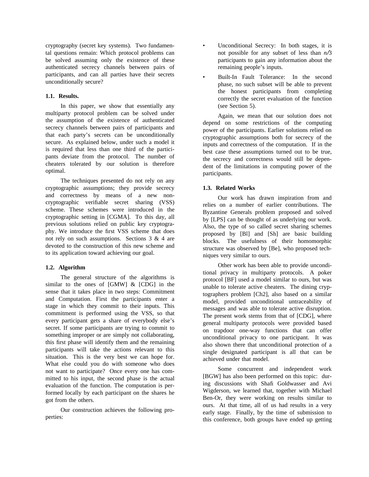cryptography (secret key systems). Two fundamental questions remain: Which protocol problems can be solved assuming only the existence of these authenticated secrecy channels between pairs of participants, and can all parties have their secrets unconditionally secure?

# **1.1. Results.**

In this paper, we show that essentially any multiparty protocol problem can be solved under the assumption of the existence of authenticated secrecy channels between pairs of participants and that each party's secrets can be unconditionally secure. As explained below, under such a model it is required that less than one third of the participants deviate from the protocol. The number of cheaters tolerated by our solution is therefore optimal.

The techniques presented do not rely on any cryptographic assumptions; they provide secrecy and correctness by means of a new noncryptographic verifiable secret sharing (VSS) scheme. These schemes were introduced in the cryptographic setting in [CGMA]. To this day, all previous solutions relied on public key cryptography. We introduce the first VSS scheme that does not rely on such assumptions. Sections 3 & 4 are devoted to the construction of this new scheme and to its application toward achieving our goal.

# **1.2. Algorithm**

The general structure of the algorithms is similar to the ones of [GMW] & [CDG] in the sense that it takes place in two steps: Commitment and Computation. First the participants enter a stage in which they commit to their inputs. This commitment is performed using the VSS, so that every participant gets a share of everybody else's secret. If some participants are trying to commit to something improper or are simply not collaborating, this first phase will identify them and the remaining participants will take the actions relevant to this situation. This is the very best we can hope for. What else could you do with someone who does not want to participate? Once every one has committed to his input, the second phase is the actual evaluation of the function. The computation is performed locally by each participant on the shares he got from the others.

Our construction achieves the following properties:

- Unconditional Secrecy: In both stages, it is not possible for any subset of less than  $n/3$ participants to gain any information about the remaining people's inputs.
- Built-In Fault Tolerance: In the second phase, no such subset will be able to prevent the honest participants from completing correctly the secret evaluation of the function (see Section 5).

Again, we mean that our solution does not depend on some restrictions of the computing power of the participants. Earlier solutions relied on cryptographic assumptions both for secrecy of the inputs and correctness of the computation. If in the best case these assumptions turned out to be true, the secrecy and correctness would still be dependent of the limitations in computing power of the participants.

# **1.3. Related Works**

Our work has drawn inspiration from and relies on a number of earlier contributions. The Byzantine Generals problem proposed and solved by [LPS] can be thought of as underlying our work. Also, the type of so called secret sharing schemes proposed by [Bl] and [Sh] are basic building blocks. The usefulness of their homomorphic structure was observed by [Be], who proposed techniques very similar to ours.

Other work has been able to provide unconditional privacy in multiparty protocols. A poker protocol [BF] used a model similar to ours, but was unable to tolerate active cheaters. The dining cryptographers problem [Ch2], also based on a similar model, provided unconditional untraceability of messages and was able to tolerate active disruption. The present work stems from that of [CDG], where general multiparty protocols were provided based on trapdoor one-way functions that can offer unconditional privacy to one participant. It was also shown there that unconditional protection of a single designated participant is all that can be achieved under that model.

Some concurrent and independent work [BGW] has also been performed on this topic: during discussions with Shafi Goldwasser and Avi Wigderson, we learned that, together with Michael Ben-Or, they were working on results similar to ours. At that time, all of us had results in a very early stage. Finally, by the time of submission to this conference, both groups have ended up getting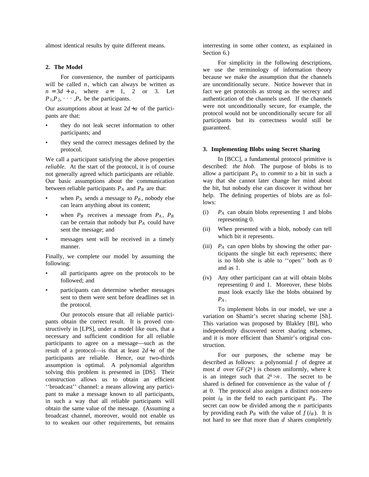almost identical results by quite different means.

### **2. The Model**

For convenience, the number of participants will be called  $n$ , which can always be written as  $n = 3d + a$ , where  $a = 1$ , 2 or 3. Let  $P_1, P_2, \cdots, P_n$  be the participants.

Our assumptions about at least  $2d + a$  of the participants are that:

- they do not leak secret information to other participants; and
- they send the correct messages defined by the protocol.

We call a participant satisfying the above properties *reliable*. At the start of the protocol, it is of course not generally agreed which participants are reliable. Our basic assumptions about the communication between reliable participants  $P_A$  and  $P_B$  are that:

- when  $P_A$  sends a message to  $P_B$ , nobody else can learn anything about its content;
- when  $P_B$  receives a message from  $P_A$ ,  $P_B$ can be certain that nobody but *P<sup>A</sup>* could have sent the message; and
- messages sent will be received in a timely manner.

Finally, we complete our model by assuming the following:

- all participants agree on the protocols to be followed; and
- participants can determine whether messages sent to them were sent before deadlines set in the protocol.

Our protocols ensure that all reliable participants obtain the correct result. It is proved constructively in [LPS], under a model like ours, that a necessary and sufficient condition for all reliable participants to agree on a message—such as the result of a protocol—is that at least  $2d + a$  of the participants are reliable. Hence, our two-thirds assumption is optimal. A polynomial algorithm solving this problem is presented in [DS]. Their construction allows us to obtain an efficient ''broadcast'' channel: a means allowing any participant to make a message known to all participants, in such a way that all reliable participants will obtain the same value of the message. (Assuming a broadcast channel, moreover, would not enable us to to weaken our other requirements, but remains

interresting in some other context, as explained in Section 6.)

For simplicity in the following descriptions, we use the terminology of information theory because we make the assumption that the channels are unconditionally secure. Notice however that in fact we get protocols as strong as the secrecy and authentication of the channels used. If the channels were not unconditionally secure, for example, the protocol would not be unconditionally secure for all participants but its correctness would still be guaranteed.

### **3. Implementing Blobs using Secret Sharing**

In [BCC], a fundamental protocol primitive is described: *the blob*. The purpose of blobs is to allow a participant *P<sup>A</sup>* to *commit* to a bit in such a way that she cannot later change her mind about the bit, but nobody else can discover it without her help. The defining properties of blobs are as follows:

- (i) *P<sup>A</sup>* can obtain blobs representing 1 and blobs representing 0.
- (ii) When presented with a blob, nobody can tell which bit it represents.
- (iii) *P<sup>A</sup>* can *open* blobs by showing the other participants the single bit each represents; there is no blob she is able to ''open'' both as 0 and as 1.
- (iv) Any other participant can at will obtain blobs representing 0 and 1. Moreover, these blobs must look exactly like the blobs obtained by *P<sup>A</sup>* .

To implement blobs in our model, we use a variation on Shamir's secret sharing scheme [Sh]. This variation was proposed by Blakley [Bl], who independently discovered secret sharing schemes, and it is more efficient than Shamir's original construction.

For our purposes, the scheme may be described as follows: a polynomial *f* of degree at most *d* over  $GF(2^k)$  is chosen uniformly, where *k* is an integer such that  $2^k > n$ . The secret to be shared is defined for convenience as the value of *f* at 0. The protocol also assigns a distinct non-zero point  $i_B$  in the field to each participant  $P_B$ . The secret can now be divided among the *n* participants by providing each  $P_B$  with the value of  $f(i)$ . It is not hard to see that more than *d* shares completely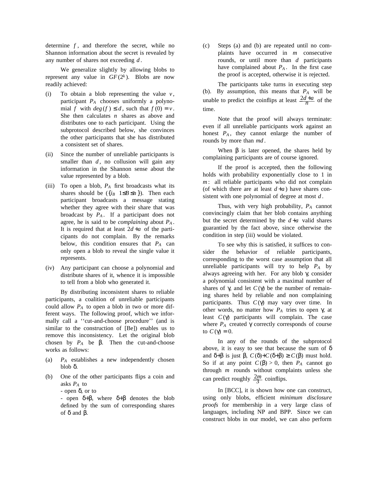determine *f* , and therefore the secret, while no Shannon information about the secret is revealed by any number of shares not exceeding *d* .

We generalize slightly by allowing blobs to represent any value in  $GF(2^k)$ . Blobs are now readily achieved:

- (i) To obtain a blob representing the value  $v$ , participant *P<sup>A</sup>* chooses uniformly a polynomial *f* with  $deg(f) \le d$ , such that  $f(0) = v$ . She then calculates *n* shares as above and distributes one to each participant. Using the subprotocol described below, she convinces the other participants that she has distributed a consistent set of shares.
- (ii) Since the number of unreliable participants is smaller than  $d$ , no collusion will gain any information in the Shannon sense about the value represented by a blob.
- (iii) To open a blob,  $P_A$  first broadcasts what its shares should be  $({i_B | 1 \leq B \leq n})$ . Then each participant broadcasts a message stating whether they agree with their share that was broadcast by  $P_A$ . If a participant does not agree, he is said to be *complaining* about *P<sup>A</sup>* . It is required that at least  $2d + a$  of the participants do not complain. By the remarks below, this condition ensures that *P<sup>A</sup>* can only open a blob to reveal the single value it represents.
- (iv) Any participant can choose a polynomial and distribute shares of it, whence it is impossible to tell from a blob who generated it.

By distributing inconsistent shares to reliable participants, a coalition of unreliable participants could allow  $P_A$  to open a blob in two or more different ways. The following proof, which we informally call a ''cut-and-choose procedure'' (and is similar to the construction of [Be]) enables us to remove this inconsistency. Let the original blob chosen by  $P_A$  be  $\beta$ . Then the cut-and-choose works as follows:

- (a) *P<sup>A</sup>* establishes a new independently chosen blob δ.
- (b) One of the other participants flips a coin and asks *P<sup>A</sup>* to - open δ, or to

- open δ+β, where δ+β denotes the blob defined by the sum of corresponding shares of  $\delta$  and  $\beta$ .

(c) Steps (a) and (b) are repeated until no complaints have occurred in *m* consecutive rounds, or until more than *d* participants have complained about  $P_A$ . In the first case the proof is accepted, otherwise it is rejected.

The participants take turns in executing step (b). By assumption, this means that *P<sup>A</sup>* will be unable to predict the coinflips at least  $\frac{2d+a}{n}$  of the time.

Note that the proof will always terminate: even if all unreliable participants work against an honest  $P_A$ , they cannot enlarge the number of rounds by more than *md* .

When  $\beta$  is later opened, the shares held by complaining participants are of course ignored.

If the proof is accepted, then the following holds with probability exponentially close to 1 in *m* : all reliable participants who did not complain (of which there are at least  $d+a$ ) have shares consistent with one polynomial of degree at most *d* .

Thus, with very high probability, *P<sup>A</sup>* cannot convincingly claim that her blob contains anything but the secret determined by the  $d+a$  valid shares guarantied by the fact above, since otherwise the condition in step (iii) would be violated.

To see why this is satisfied, it suffices to consider the behavior of reliable participants, corresponding to the worst case assumption that all unreliable participants will try to help *P<sup>A</sup>* by always agreeing with her. For any blob γ, consider a polynomial consistent with a maximal number of shares of γ, and let  $C(\gamma)$  be the number of remaining shares held by reliable and non complaining participants. Thus  $C(\gamma)$  may vary over time. In other words, no matter how *P<sup>A</sup>* tries to open γ, at least *C*(γ) participants will complain. The case where  $P_A$  created  $\gamma$  correctly corresponds of course to  $C(\gamma) = 0$ .

In any of the rounds of the subprotocol above, it is easy to see that because the sum of  $\delta$ and δ+β is just β,  $C$ (δ)+ $C$ (δ+β) ≥  $C$ (β) must hold. So if at any point  $C(\beta) > 0$ , then  $P_A$  cannot go through *m* rounds without complaints unless she can predict roughly  $\frac{2m}{3}$  coinflips.

In [BCC], it is shown how one can construct, using only blobs, efficient *minimum disclosure proofs* for membership in a very large class of languages, including NP and BPP. Since we can construct blobs in our model, we can also perform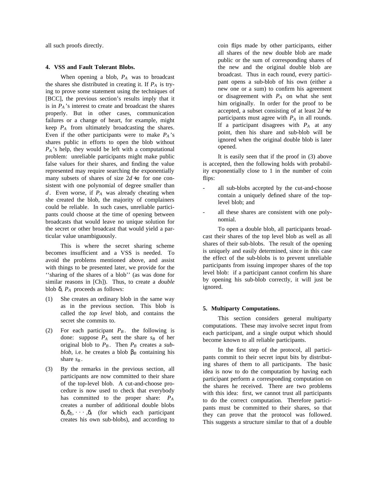all such proofs directly.

### **4. VSS and Fault Tolerant Blobs.**

When opening a blob, *P<sup>A</sup>* was to broadcast the shares she distributed in creating it. If *P<sup>A</sup>* is trying to prove some statement using the techniques of [BCC], the previous section's results imply that it is in  $P_A$ 's interest to create and broadcast the shares properly. But in other cases, communication failures or a change of heart, for example, might keep *P<sup>A</sup>* from ultimately broadcasting the shares. Even if the other participants were to make  $P_A$ 's shares public in efforts to open the blob without *P<sup>A</sup>* 's help, they would be left with a computational problem: unreliable participants might make public false values for their shares, and finding the value represented may require searching the exponentially many subsets of shares of size  $2d + a$  for one consistent with one polynomial of degree smaller than *d* . Even worse, if *P<sup>A</sup>* was already cheating when she created the blob, the majority of complainers could be reliable. In such cases, unreliable participants could choose at the time of opening between broadcasts that would leave no unique solution for the secret or other broadcast that would yield a particular value unambiguously.

This is where the secret sharing scheme becomes insufficient and a VSS is needed. To avoid the problems mentioned above, and assist with things to be presented later, we provide for the ''sharing of the shares of a blob'' (as was done for similar reasons in [Ch]). Thus, to create a *double* blob  $δ$ ,  $P_A$  proceeds as follows:

- (1) She creates an ordinary blob in the same way as in the previous section. This blob is called the *top level* blob, and contains the secret she commits to.
- (2) For each participant  $P_B$ . the following is done: suppose  $P_A$  sent the share  $s_B$  of her original blob to  $P_B$ . Then  $P_B$  creates a *subblob*, i.e. he creates a blob  $\beta_B$  containing his share  $s_B$ .
- (3) By the remarks in the previous section, all participants are now committed to their share of the top-level blob. A cut-and-choose procedure is now used to check that everybody has committed to the proper share: *P<sup>A</sup>* creates a number of additional double blobs  $\delta_1, \delta_2, \cdots, \delta_t$  (for which each participant creates his own sub-blobs), and according to

coin flips made by other participants, either all shares of the new double blob are made public or the sum of corresponding shares of the new and the original double blob are broadcast. Thus in each round, every participant opens a sub-blob of his own (either a new one or a sum) to confirm his agreement or disagreement with *P<sup>A</sup>* on what she sent him originally. In order for the proof to be accepted, a subset consisting of at least 2*d* +*a* participants must agree with *P<sup>A</sup>* in all rounds. If a participant disagrees with *P<sup>A</sup>* at any point, then his share and sub-blob will be ignored when the original double blob is later opened.

It is easily seen that if the proof in (3) above is accepted, then the following holds with probability exponentially close to 1 in the number of coin flips:

- all sub-blobs accepted by the cut-and-choose contain a uniquely defined share of the toplevel blob; and
- all these shares are consistent with one polynomial.

To open a double blob, all participants broadcast their shares of the top level blob as well as all shares of their sub-blobs. The result of the opening is uniquely and easily determined, since in this case the effect of the sub-blobs is to prevent unreliable participants from issuing improper shares of the top level blob: if a participant cannot confirm his share by opening his sub-blob correctly, it will just be ignored.

### **5. Multiparty Computations.**

This section considers general multiparty computations. These may involve secret input from each participant, and a single output which should become known to all reliable participants.

In the first step of the protocol, all participants commit to their secret input bits by distributing shares of them to all participants. The basic idea is now to do the computation by having each participant perform a corresponding computation on the shares he received. There are two problems with this idea: first, we cannot trust all participants to do the correct computation. Therefore participants must be committed to their shares, so that they can prove that the protocol was followed. This suggests a structure similar to that of a double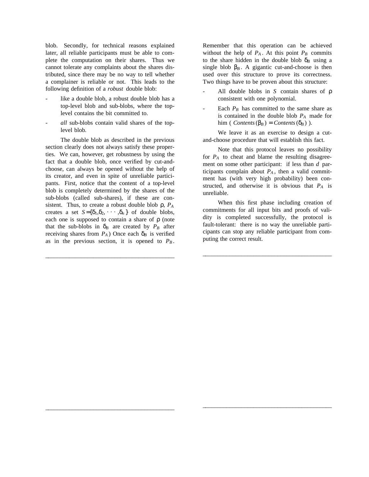blob. Secondly, for technical reasons explained later, all reliable participants must be able to complete the computation on their shares. Thus we cannot tolerate any complaints about the shares distributed, since there may be no way to tell whether a complainer is reliable or not. This leads to the following definition of a *robust* double blob:

- like a double blob, a robust double blob has a top-level blob and sub-blobs, where the toplevel contains the bit committed to.
- *all* sub-blobs contain valid shares of the toplevel blob.

The double blob as described in the previous section clearly does not always satisfy these properties. We can, however, get robustness by using the fact that a double blob, once verified by cut-andchoose, can always be opened without the help of its creator, and even in spite of unreliable participants. First, notice that the content of a top-level blob is completely determined by the shares of the sub-blobs (called sub-shares), if these are consistent. Thus, to create a robust double blob ρ, *P<sup>A</sup>* creates a set  $S = {\delta_1, \delta_2, \cdots, \delta_n}$  of double blobs, each one is supposed to contain a share of  $\rho$  (note that the sub-blobs in  $\delta_B$  are created by  $P_B$  after receiving shares from  $P_A$ ) Once each  $\delta_B$  is verified as in the previous section, it is opened to  $P_B$ .

\_ \_\_\_\_\_\_\_\_\_\_\_\_\_\_\_\_\_\_\_\_\_\_\_\_\_\_\_\_\_\_\_\_\_\_\_\_\_\_\_\_\_\_

\_ \_\_\_\_\_\_\_\_\_\_\_\_\_\_\_\_\_\_\_\_\_\_\_\_\_\_\_\_\_\_\_\_\_\_\_\_\_\_\_\_\_\_

Remember that this operation can be achieved without the help of  $P_A$ . At this point  $P_B$  commits to the share hidden in the double blob  $\delta_B$  using a single blob  $\beta_B$ . A gigantic cut-and-choose is then used over this structure to prove its correctness. Two things have to be proven about this structure:

- All double blobs in *S* contain shares of ρ consistent with one polynomial.
- Each  $P_B$  has committed to the same share as is contained in the double blob *P<sup>A</sup>* made for him ( *Contents*( $\beta_B$ ) = *Contents*( $\delta_B$ ) ).

We leave it as an exercise to design a cutand-choose procedure that will establish this fact.

Note that this protocol leaves no possibility for  $P_A$  to cheat and blame the resulting disagreement on some other participant: if less than *d* participants complain about  $P_A$ , then a valid commitment has (with very high probability) been constructed, and otherwise it is obvious that  $P_A$  is unreliable.

When this first phase including creation of commitments for all input bits and proofs of validity is completed successfully, the protocol is fault-tolerant: there is no way the unreliable participants can stop any reliable participant from computing the correct result.

\_ \_\_\_\_\_\_\_\_\_\_\_\_\_\_\_\_\_\_\_\_\_\_\_\_\_\_\_\_\_\_\_\_\_\_\_\_\_\_\_\_\_\_

\_ \_\_\_\_\_\_\_\_\_\_\_\_\_\_\_\_\_\_\_\_\_\_\_\_\_\_\_\_\_\_\_\_\_\_\_\_\_\_\_\_\_\_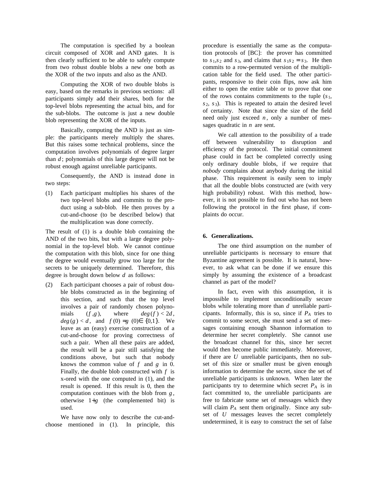The computation is specified by a boolean circuit composed of XOR and AND gates. It is then clearly sufficient to be able to safely compute from two robust double blobs a new one both as the XOR of the two inputs and also as the AND.

Computing the XOR of two double blobs is easy, based on the remarks in previous sections: all participants simply add their shares, both for the top-level blobs representing the actual bits, and for the sub-blobs. The outcome is just a new double blob representing the XOR of the inputs.

Basically, computing the AND is just as simple: the participants merely multiply the shares. But this raises some technical problems, since the computation involves polynomials of degree larger than *d* ; polynomials of this large degree will not be robust enough against unreliable participants.

Consequently, the AND is instead done in two steps:

(1) Each participant multiplies his shares of the two top-level blobs and commits to the product using a sub-blob. He then proves by a cut-and-choose (to be described below) that the multiplication was done correctly.

The result of (1) is a double blob containing the AND of the two bits, but with a large degree polynomial in the top-level blob. We cannot continue the computation with this blob, since for one thing the degree would eventually grow too large for the secrets to be uniquely determined. Therefore, this degree is brought down below *d* as follows:

(2) Each participant chooses a pair of robust double blobs constructed as in the beginning of this section, and such that the top level involves a pair of randomly chosen polynomials  $(f, g)$ , where  $deg(f) < 2d$ ,  $deg(g) < d$ , and  $f(0) = g(0) \in \{0,1\}$ . We leave as an (easy) exercise construction of a cut-and-choose for proving correctness of such a pair. When all these pairs are added, the result will be a pair still satisfying the conditions above, but such that nobody knows the common value of *f* and *g* in 0. Finally, the double blob constructed with *f* is x-ored with the one computed in (1), and the result is opened. If this result is 0, then the computation continues with the blob from *g* , otherwise  $1+g$  (the complemented bit) is used.

We have now only to describe the cut-andchoose mentioned in (1). In principle, this procedure is essentially the same as the computation protocols of [BC]: the prover has committed to  $s_1, s_2$  and  $s_3$ , and claims that  $s_1 s_2 = s_3$ . He then commits to a row-permuted version of the multiplication table for the field used. The other participants, responsive to their coin flips, now ask him either to open the entire table or to prove that one of the rows contains commitments to the tuple  $(s_1,$  $s_2$ ,  $s_3$ ). This is repeated to attain the desired level of certainty. Note that since the size of the field need only just exceed  $n$ , only a number of messages quadratic in *n* are sent.

We call attention to the possibility of a trade off between vulnerability to disruption and efficiency of the protocol. The initial commitment phase could in fact be completed correctly using only ordinary double blobs, if we require that *nobody* complains about anybody during the initial phase. This requirement is easily seen to imply that all the double blobs constructed are (with very high probability) robust. With this method, however, it is not possible to find out who has not been following the protocol in the first phase, if complaints do occur.

### **6. Generalizations.**

The one third assumption on the number of unreliable participants is necessary to ensure that Byzantine agreement is possible. It is natural, however, to ask what can be done if we ensure this simply by assuming the existence of a broadcast channel as part of the model?

In fact, even with this assumption, it is impossible to implement unconditionally secure blobs while tolerating more than *d* unreliable participants. Informally, this is so, since if *P<sup>A</sup>* tries to commit to some secret, she must send a set of messages containing enough Shannon information to determine her secret completely. She cannot use the broadcast channel for this, since her secret would then become public immediately. Moreover, if there are *U* unreliable participants, then no subset of this size or smaller must be given enough information to determine the secret, since the set of unreliable participants is unknown. When later the participants try to determine which secret *P<sup>A</sup>* is in fact committed to, the unreliable participants are free to fabricate some set of messages which they will claim *P<sup>A</sup>* sent them originally. Since any subset of *U* messages leaves the secret completely undetermined, it is easy to construct the set of false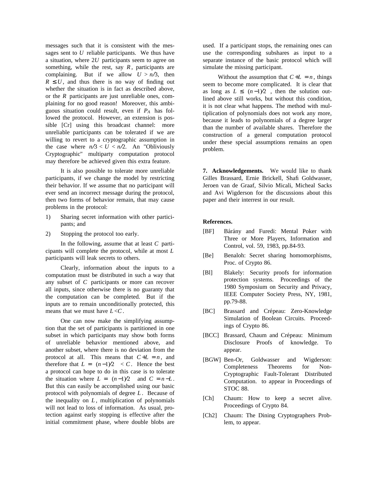messages such that it is consistent with the messages sent to *U* reliable participants. We thus have a situation, where 2*U* participants seem to agree on something, while the rest, say  $R$ , participants are complaining. But if we allow  $U > n/3$ , then  $R \leq U$ , and thus there is no way of finding out whether the situation is in fact as described above, or the *R* participants are just unreliable ones, complaining for no good reason! Moreover, this ambiguous situation could result, even if *P<sup>A</sup>* has followed the protocol. However, an extension is possible [Cr] using this broadcast channel: more unreliable participants can be tolerated if we are willing to revert to a cryptographic assumption in the case where  $n/3 < U < n/2$ . An "Obliviously Cryptographic" multiparty computation protocol may therefore be achieved given this extra feature.

It is also possible to tolerate more unreliable participants, if we change the model by restricting their behavior. If we assume that no participant will ever send an incorrect message during the protocol, then two forms of behavior remain, that may cause problems in the protocol:

- 1) Sharing secret information with other participants; and
- 2) Stopping the protocol too early.

In the following, assume that at least *C* participants will complete the protocol, while at most *L* participants will leak secrets to others.

Clearly, information about the inputs to a computation must be distributed in such a way that any subset of *C* participants or more can recover all inputs, since otherwise there is no guaranty that the computation can be completed. But if the inputs are to remain unconditionally protected, this means that we must have  $L < C$ .

One can now make the simplifying assumption that the set of participants is partitioned in one subset in which participants may show both forms of unreliable behavior mentioned above, and another subset, where there is no deviation from the protocol at all. This means that  $C+L = n$ , and therefore that  $L = \lfloor (n-1)/2 \rfloor < C$ . Hence the best a protocol can hope to do in this case is to tolerate the situation where  $L = \lfloor (n-1)/2 \rfloor$  and  $C = n - L$ . But this can easily be accomplished using our basic protocol with polynomials of degree *L*. Because of the inequality on *L*, multiplication of polynomials will not lead to loss of information. As usual, protection against early stopping is effective after the initial commitment phase, where double blobs are used. If a participant stops, the remaining ones can use the corresponding subshares as input to a separate instance of the basic protocol which will simulate the missing participant.

Without the assumption that  $C+L = n$ , things seem to become more complicated. It is clear that as long as  $L \leq \lfloor (n-1)/2 \rfloor$ , then the solution outlined above still works, but without this condition, it is not clear what happens. The method with multiplication of polynomials does not work any more, because it leads to polynomials of a degree larger than the number of available shares. Therefore the construction of a general computation protocol under these special assumptions remains an open problem.

**7. Acknowledgements.** We would like to thank Gilles Brassard, Ernie Brickell, Shafi Goldwasser, Jeroen van de Graaf, Silvio Micali, Micheal Sacks and Avi Wigderson for the discussions about this paper and their interrest in our result.

## **References.**

- [BF] Bárány and Furedi: Mental Poker with Three or More Players, Information and Control, vol. 59, 1983, pp.84-93.
- [Be] Benaloh: Secret sharing homomorphisms, Proc. of Crypto 86.
- [Bl] Blakely: Security proofs for information protection systems. Proceedings of the 1980 Symposium on Security and Privacy, IEEE Computer Society Press, NY, 1981, pp.79-88.
- [BC] Brassard and Crépeau: Zero-Knowledge Simulation of Boolean Circuits. Proceedings of Crypto 86.
- [BCC] Brassard, Chaum and Crépeau: Minimum Disclosure Proofs of knowledge. To appear.
- [BGW] Ben-Or, Goldwasser and Wigderson: Completeness Theorems for Non-Cryptographic Fault-Tolerant Distributed Computation. to appear in Proceedings of STOC 88.
- [Ch] Chaum: How to keep a secret alive. Proceedings of Crypto 84.
- [Ch2] Chaum: The Dining Cryptographers Problem, to appear.